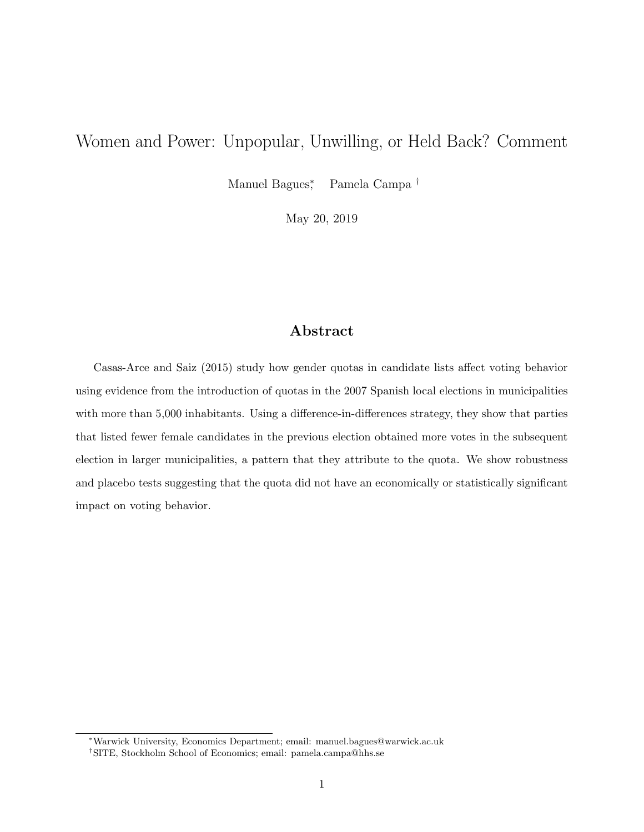# Women and Power: Unpopular, Unwilling, or Held Back? Comment

Manuel Bagues<sup>\*</sup> Pamela Campa<sup>†</sup>

May 20, 2019

## Abstract

Casas-Arce and Saiz (2015) study how gender quotas in candidate lists affect voting behavior using evidence from the introduction of quotas in the 2007 Spanish local elections in municipalities with more than 5,000 inhabitants. Using a difference-in-differences strategy, they show that parties that listed fewer female candidates in the previous election obtained more votes in the subsequent election in larger municipalities, a pattern that they attribute to the quota. We show robustness and placebo tests suggesting that the quota did not have an economically or statistically significant impact on voting behavior.

<sup>∗</sup>Warwick University, Economics Department; email: manuel.bagues@warwick.ac.uk †SITE, Stockholm School of Economics; email: pamela.campa@hhs.se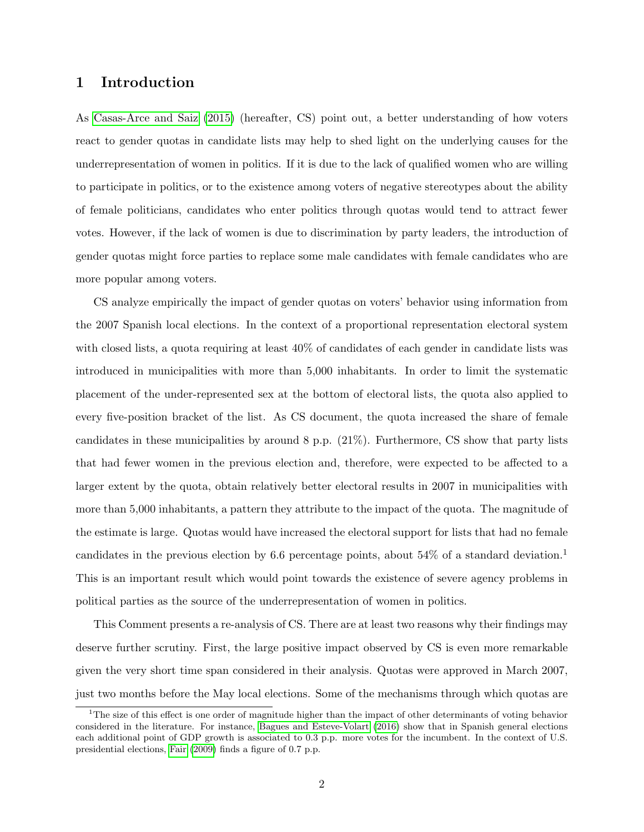#### 1 Introduction

As [Casas-Arce and Saiz](#page-6-0) [\(2015\)](#page-6-0) (hereafter, CS) point out, a better understanding of how voters react to gender quotas in candidate lists may help to shed light on the underlying causes for the underrepresentation of women in politics. If it is due to the lack of qualified women who are willing to participate in politics, or to the existence among voters of negative stereotypes about the ability of female politicians, candidates who enter politics through quotas would tend to attract fewer votes. However, if the lack of women is due to discrimination by party leaders, the introduction of gender quotas might force parties to replace some male candidates with female candidates who are more popular among voters.

CS analyze empirically the impact of gender quotas on voters' behavior using information from the 2007 Spanish local elections. In the context of a proportional representation electoral system with closed lists, a quota requiring at least 40% of candidates of each gender in candidate lists was introduced in municipalities with more than 5,000 inhabitants. In order to limit the systematic placement of the under-represented sex at the bottom of electoral lists, the quota also applied to every five-position bracket of the list. As CS document, the quota increased the share of female candidates in these municipalities by around 8 p.p. (21%). Furthermore, CS show that party lists that had fewer women in the previous election and, therefore, were expected to be affected to a larger extent by the quota, obtain relatively better electoral results in 2007 in municipalities with more than 5,000 inhabitants, a pattern they attribute to the impact of the quota. The magnitude of the estimate is large. Quotas would have increased the electoral support for lists that had no female candidates in the previous election by 6.6 percentage points, about 54% of a standard deviation.<sup>1</sup> This is an important result which would point towards the existence of severe agency problems in political parties as the source of the underrepresentation of women in politics.

This Comment presents a re-analysis of CS. There are at least two reasons why their findings may deserve further scrutiny. First, the large positive impact observed by CS is even more remarkable given the very short time span considered in their analysis. Quotas were approved in March 2007, just two months before the May local elections. Some of the mechanisms through which quotas are

<sup>&</sup>lt;sup>1</sup>The size of this effect is one order of magnitude higher than the impact of other determinants of voting behavior considered in the literature. For instance, [Bagues and Esteve-Volart](#page-6-1) [\(2016\)](#page-6-1) show that in Spanish general elections each additional point of GDP growth is associated to 0.3 p.p. more votes for the incumbent. In the context of U.S. presidential elections, [Fair](#page-6-2) [\(2009\)](#page-6-2) finds a figure of 0.7 p.p.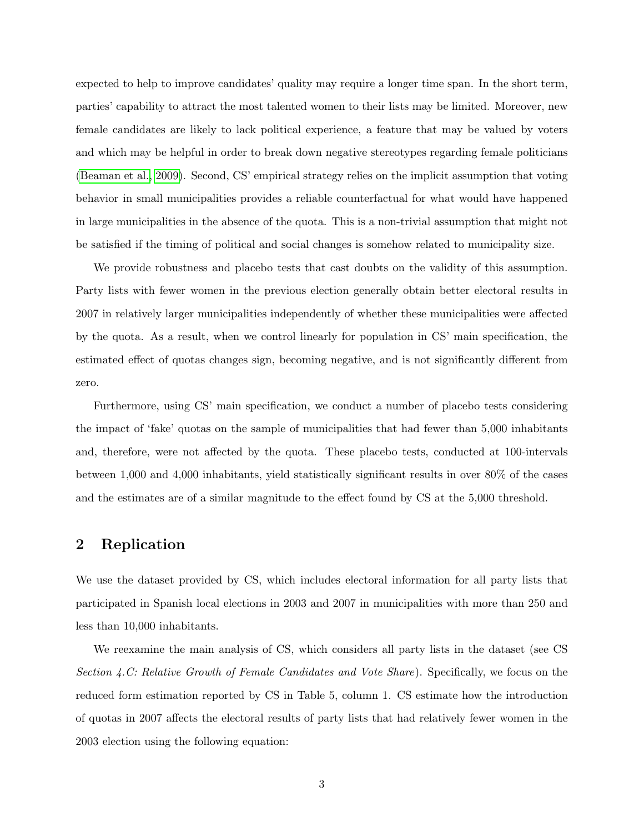expected to help to improve candidates' quality may require a longer time span. In the short term, parties' capability to attract the most talented women to their lists may be limited. Moreover, new female candidates are likely to lack political experience, a feature that may be valued by voters and which may be helpful in order to break down negative stereotypes regarding female politicians [\(Beaman et al., 2009\)](#page-6-3). Second, CS' empirical strategy relies on the implicit assumption that voting behavior in small municipalities provides a reliable counterfactual for what would have happened in large municipalities in the absence of the quota. This is a non-trivial assumption that might not be satisfied if the timing of political and social changes is somehow related to municipality size.

We provide robustness and placebo tests that cast doubts on the validity of this assumption. Party lists with fewer women in the previous election generally obtain better electoral results in 2007 in relatively larger municipalities independently of whether these municipalities were affected by the quota. As a result, when we control linearly for population in CS' main specification, the estimated effect of quotas changes sign, becoming negative, and is not significantly different from zero.

Furthermore, using CS' main specification, we conduct a number of placebo tests considering the impact of 'fake' quotas on the sample of municipalities that had fewer than 5,000 inhabitants and, therefore, were not affected by the quota. These placebo tests, conducted at 100-intervals between 1,000 and 4,000 inhabitants, yield statistically significant results in over 80% of the cases and the estimates are of a similar magnitude to the effect found by CS at the 5,000 threshold.

### 2 Replication

We use the dataset provided by CS, which includes electoral information for all party lists that participated in Spanish local elections in 2003 and 2007 in municipalities with more than 250 and less than 10,000 inhabitants.

We reexamine the main analysis of CS, which considers all party lists in the dataset (see CS Section  $\angle A$ .C: Relative Growth of Female Candidates and Vote Share). Specifically, we focus on the reduced form estimation reported by CS in Table 5, column 1. CS estimate how the introduction of quotas in 2007 affects the electoral results of party lists that had relatively fewer women in the 2003 election using the following equation: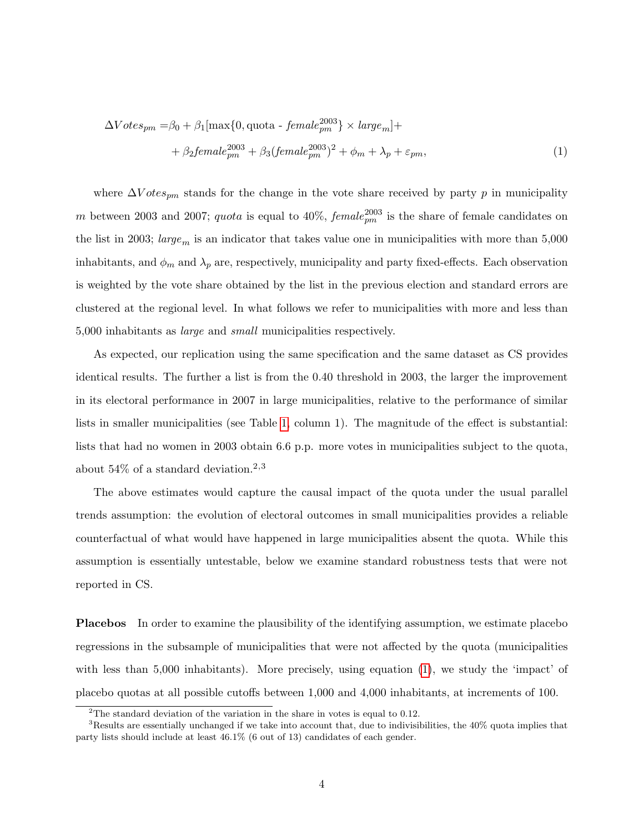<span id="page-3-0"></span>
$$
\Delta Votes_{pm} = \beta_0 + \beta_1 [\max\{0, \text{ quota} - female_{pm}^{2003}\} \times large_m] ++ \beta_2 female_{pm}^{2003} + \beta_3 (female_{pm}^{2003})^2 + \phi_m + \lambda_p + \varepsilon_{pm},
$$
\n(1)

where  $\Delta V$  otes<sub>pm</sub> stands for the change in the vote share received by party p in municipality m between 2003 and 2007; *quota* is equal to 40%,  $female_{pm}^{2003}$  is the share of female candidates on the list in 2003; large<sub>m</sub> is an indicator that takes value one in municipalities with more than  $5,000$ inhabitants, and  $\phi_m$  and  $\lambda_p$  are, respectively, municipality and party fixed-effects. Each observation is weighted by the vote share obtained by the list in the previous election and standard errors are clustered at the regional level. In what follows we refer to municipalities with more and less than 5,000 inhabitants as large and small municipalities respectively.

As expected, our replication using the same specification and the same dataset as CS provides identical results. The further a list is from the 0.40 threshold in 2003, the larger the improvement in its electoral performance in 2007 in large municipalities, relative to the performance of similar lists in smaller municipalities (see Table [1,](#page-7-0) column 1). The magnitude of the effect is substantial: lists that had no women in 2003 obtain 6.6 p.p. more votes in municipalities subject to the quota, about  $54\%$  of a standard deviation.<sup>2,3</sup>

The above estimates would capture the causal impact of the quota under the usual parallel trends assumption: the evolution of electoral outcomes in small municipalities provides a reliable counterfactual of what would have happened in large municipalities absent the quota. While this assumption is essentially untestable, below we examine standard robustness tests that were not reported in CS.

Placebos In order to examine the plausibility of the identifying assumption, we estimate placebo regressions in the subsample of municipalities that were not affected by the quota (municipalities with less than 5,000 inhabitants). More precisely, using equation [\(1\)](#page-3-0), we study the 'impact' of placebo quotas at all possible cutoffs between 1,000 and 4,000 inhabitants, at increments of 100.

<sup>&</sup>lt;sup>2</sup>The standard deviation of the variation in the share in votes is equal to 0.12.

<sup>3</sup>Results are essentially unchanged if we take into account that, due to indivisibilities, the 40% quota implies that party lists should include at least 46.1% (6 out of 13) candidates of each gender.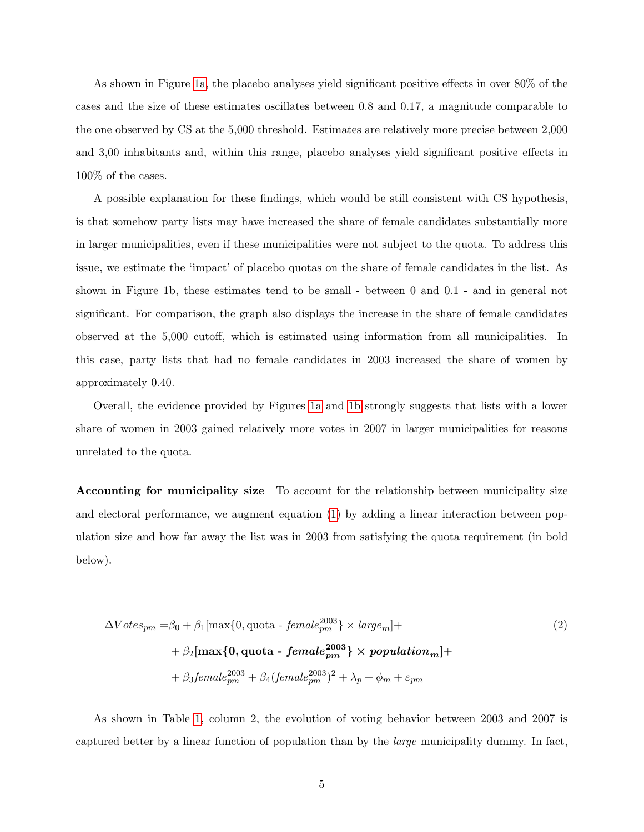As shown in Figure [1a,](#page-8-0) the placebo analyses yield significant positive effects in over 80% of the cases and the size of these estimates oscillates between 0.8 and 0.17, a magnitude comparable to the one observed by CS at the 5,000 threshold. Estimates are relatively more precise between 2,000 and 3,00 inhabitants and, within this range, placebo analyses yield significant positive effects in 100% of the cases.

A possible explanation for these findings, which would be still consistent with CS hypothesis, is that somehow party lists may have increased the share of female candidates substantially more in larger municipalities, even if these municipalities were not subject to the quota. To address this issue, we estimate the 'impact' of placebo quotas on the share of female candidates in the list. As shown in Figure 1b, these estimates tend to be small - between 0 and 0.1 - and in general not significant. For comparison, the graph also displays the increase in the share of female candidates observed at the 5,000 cutoff, which is estimated using information from all municipalities. In this case, party lists that had no female candidates in 2003 increased the share of women by approximately 0.40.

Overall, the evidence provided by Figures [1a](#page-8-0) and [1b](#page-8-0) strongly suggests that lists with a lower share of women in 2003 gained relatively more votes in 2007 in larger municipalities for reasons unrelated to the quota.

Accounting for municipality size To account for the relationship between municipality size and electoral performance, we augment equation [\(1\)](#page-3-0) by adding a linear interaction between population size and how far away the list was in 2003 from satisfying the quota requirement (in bold below).

$$
\Delta Votes_{pm} = \beta_0 + \beta_1 [\max\{0, \text{ quota} - female_{pm}^{2003}\} \times large_m] + + \beta_2 [\max\{0, \text{ quota} - female_{pm}^{2003}\} \times population_m] + + \beta_3 female_{pm}^{2003} + \beta_4 (female_{pm}^{2003})^2 + \lambda_p + \phi_m + \varepsilon_{pm}
$$
\n(2)

As shown in Table [1,](#page-7-0) column 2, the evolution of voting behavior between 2003 and 2007 is captured better by a linear function of population than by the large municipality dummy. In fact,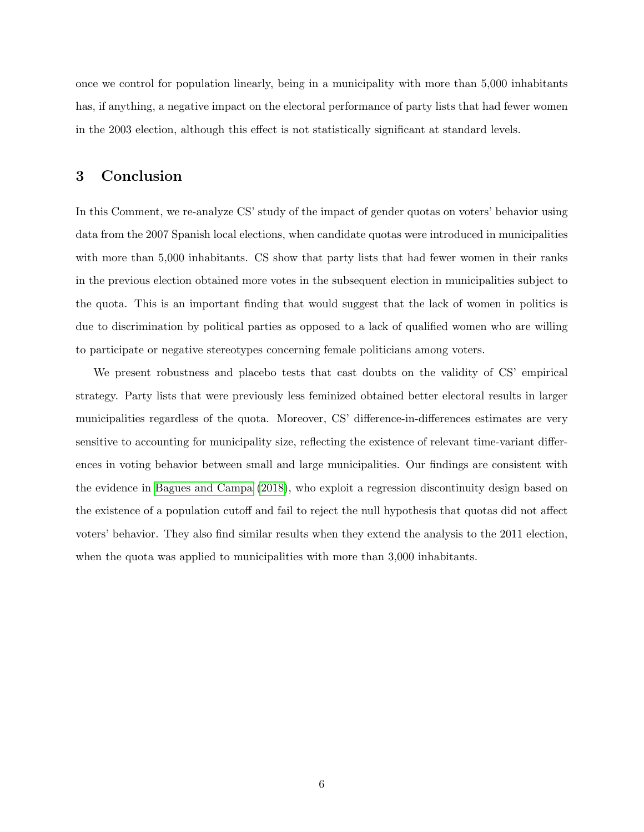once we control for population linearly, being in a municipality with more than 5,000 inhabitants has, if anything, a negative impact on the electoral performance of party lists that had fewer women in the 2003 election, although this effect is not statistically significant at standard levels.

#### 3 Conclusion

In this Comment, we re-analyze CS' study of the impact of gender quotas on voters' behavior using data from the 2007 Spanish local elections, when candidate quotas were introduced in municipalities with more than 5,000 inhabitants. CS show that party lists that had fewer women in their ranks in the previous election obtained more votes in the subsequent election in municipalities subject to the quota. This is an important finding that would suggest that the lack of women in politics is due to discrimination by political parties as opposed to a lack of qualified women who are willing to participate or negative stereotypes concerning female politicians among voters.

We present robustness and placebo tests that cast doubts on the validity of CS' empirical strategy. Party lists that were previously less feminized obtained better electoral results in larger municipalities regardless of the quota. Moreover, CS' difference-in-differences estimates are very sensitive to accounting for municipality size, reflecting the existence of relevant time-variant differences in voting behavior between small and large municipalities. Our findings are consistent with the evidence in [Bagues and Campa](#page-6-4) [\(2018\)](#page-6-4), who exploit a regression discontinuity design based on the existence of a population cutoff and fail to reject the null hypothesis that quotas did not affect voters' behavior. They also find similar results when they extend the analysis to the 2011 election, when the quota was applied to municipalities with more than 3,000 inhabitants.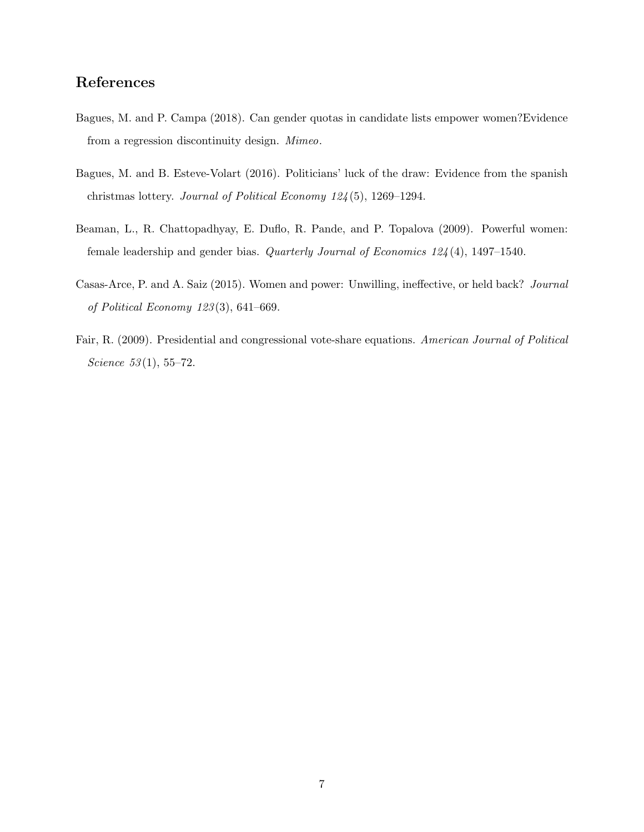## References

- <span id="page-6-4"></span>Bagues, M. and P. Campa (2018). Can gender quotas in candidate lists empower women?Evidence from a regression discontinuity design. Mimeo.
- <span id="page-6-1"></span>Bagues, M. and B. Esteve-Volart (2016). Politicians' luck of the draw: Evidence from the spanish christmas lottery. Journal of Political Economy 124 (5), 1269–1294.
- <span id="page-6-3"></span>Beaman, L., R. Chattopadhyay, E. Duflo, R. Pande, and P. Topalova (2009). Powerful women: female leadership and gender bias. Quarterly Journal of Economics 124 (4), 1497–1540.
- <span id="page-6-0"></span>Casas-Arce, P. and A. Saiz (2015). Women and power: Unwilling, ineffective, or held back? Journal of Political Economy 123 (3), 641–669.
- <span id="page-6-2"></span>Fair, R. (2009). Presidential and congressional vote-share equations. American Journal of Political Science  $53(1), 55-72.$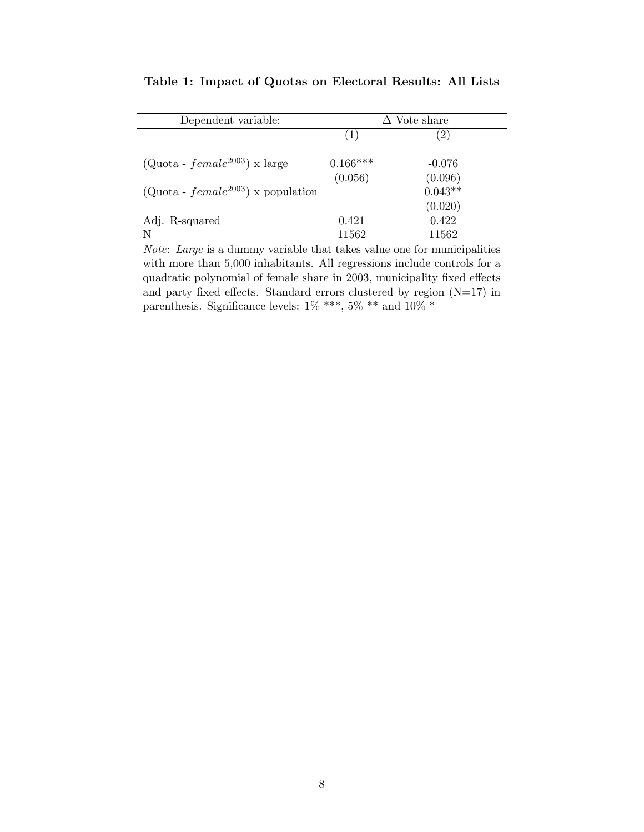| Dependent variable:                    | $\Delta$ Vote share |                      |
|----------------------------------------|---------------------|----------------------|
|                                        | (1)                 | $ 2\rangle$          |
| $(Quota - female^{2003})$ x large      | $0.166***$          | $-0.076$             |
| $(Quota - female^{2003})$ x population | (0.056)             | (0.096)<br>$0.043**$ |
| Adj. R-squared                         | 0.421               | (0.020)<br>0.422     |
| N                                      | 11562               | 11562                |

<span id="page-7-0"></span>Table 1: Impact of Quotas on Electoral Results: All Lists

Note: Large is a dummy variable that takes value one for municipalities with more than 5,000 inhabitants. All regressions include controls for a quadratic polynomial of female share in 2003, municipality fixed effects and party fixed effects. Standard errors clustered by region  $(N=17)$  in parenthesis. Significance levels: 1% \*\*\*, 5% \*\* and 10% \*